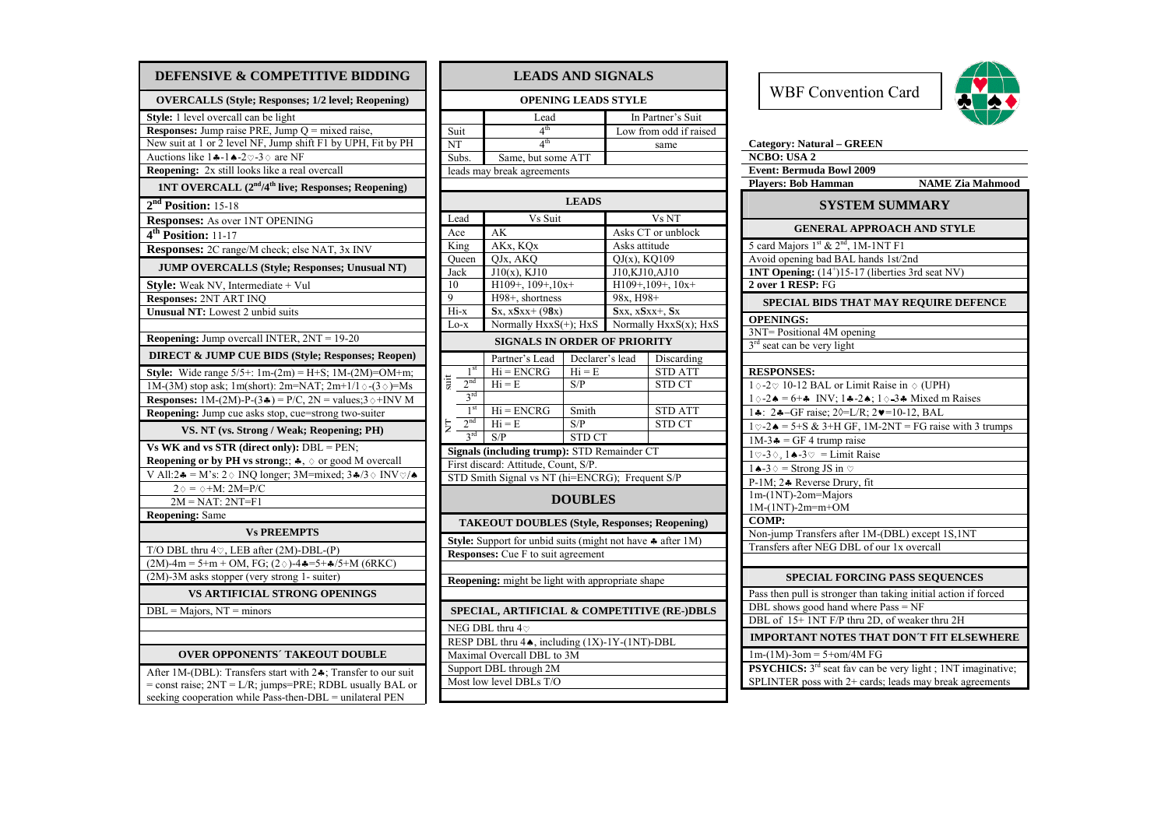| DEFENSIVE & COMPETITIVE BIDDING                                                                                                      |
|--------------------------------------------------------------------------------------------------------------------------------------|
| <b>OVERCALLS (Style; Responses; 1/2 level; Reopening)</b>                                                                            |
| Style: 1 level overcall can be light                                                                                                 |
| <b>Responses:</b> Jump raise PRE, Jump $Q$ = mixed raise,                                                                            |
| New suit at 1 or 2 level NF, Jump shift F1 by UPH, Fit by PH                                                                         |
| Auctions like $1 \div 1 \div 2 \heartsuit - 3 \diamond$ are NF                                                                       |
| Reopening: 2x still looks like a real overcall                                                                                       |
| 1NT OVERCALL (2 <sup>nd</sup> /4 <sup>th</sup> live; Responses; Reopening)                                                           |
| $2nd$ Position: 15-18                                                                                                                |
| <b>Responses:</b> As over 1NT OPENING                                                                                                |
| $4th$ Position: 11-17                                                                                                                |
| Responses: 2C range/M check; else NAT, 3x INV                                                                                        |
| <b>JUMP OVERCALLS (Style; Responses; Unusual NT)</b>                                                                                 |
| <b>Style:</b> Weak NV, Intermediate + Vul                                                                                            |
| <b>Responses: 2NT ART INQ</b>                                                                                                        |
| Unusual NT: Lowest 2 unbid suits                                                                                                     |
| <b>Reopening:</b> Jump overcall INTER, $2NT = 19-20$                                                                                 |
| <b>DIRECT &amp; JUMP CUE BIDS (Style; Responses; Reopen)</b>                                                                         |
| <b>Style:</b> Wide range $5/5$ +: 1m- $(2m)$ = H+S; 1M- $(2M)$ =OM+m;                                                                |
| 1M-(3M) stop ask; 1m(short): 2m=NAT; 2m+1/1 $\Diamond$ -(3 $\Diamond$ )=Ms                                                           |
| <b>Responses:</b> $1M-(2M)-P-(3A) = P/C$ , $2N = \text{values}; 3 \diamond + \text{INV } M$                                          |
| Reopening: Jump cue asks stop, cue=strong two-suiter                                                                                 |
| VS. NT (vs. Strong / Weak; Reopening; PH)                                                                                            |
| Vs WK and vs STR (direct only): $DBL = PEN$ ;                                                                                        |
| <b>Reopening or by PH vs strong:</b> ; $\clubsuit$ , $\diamond$ or good M overcall                                                   |
| V All:2 $\clubsuit$ = M's: 2 $\diamond$ INQ longer; 3M=mixed; 3 $\clubsuit$ /3 $\diamond$ INV $\heartsuit/\spadesuit$                |
| $2 \diamond$ = $\diamond$ +M: 2M=P/C                                                                                                 |
| $2M = NAT$ : $2NT = F1$                                                                                                              |
| <b>Reopening: Same</b>                                                                                                               |
| <b>Vs PREEMPTS</b>                                                                                                                   |
| T/O DBL thru $4\degree$ , LEB after (2M)-DBL-(P)                                                                                     |
| $(2M)$ -4m = 5+m + OM, FG; $(2 \diamond)$ -4 $\ast$ =5+ $\ast$ /5+M (6RKC)                                                           |
| (2M)-3M asks stopper (very strong 1- suiter)                                                                                         |
| VS ARTIFICIAL STRONG OPENINGS                                                                                                        |
| $DBL =$ Majors, NT = minors                                                                                                          |
|                                                                                                                                      |
| <b>OVER OPPONENTS' TAKEOUT DOUBLE</b>                                                                                                |
|                                                                                                                                      |
| After 1M-(DBL): Transfers start with $2\clubsuit$ ; Transfer to our suit<br>= const raise; 2NT = L/R; jumps=PRE; RDBL usually BAL or |
| seeking cooperation while Pass-then-DBL = unilateral PEN                                                                             |

| <b>LEADS AND SIGNALS</b>                                   |                                                                      |                 |                        |                   |  |  |  |  |  |
|------------------------------------------------------------|----------------------------------------------------------------------|-----------------|------------------------|-------------------|--|--|--|--|--|
| <b>OPENING LEADS STYLE</b>                                 |                                                                      |                 |                        |                   |  |  |  |  |  |
|                                                            | Lead                                                                 |                 |                        | In Partner's Suit |  |  |  |  |  |
| Suit                                                       | 4 <sup>th</sup>                                                      |                 | Low from odd if raised |                   |  |  |  |  |  |
| NT                                                         | 4 <sup>th</sup>                                                      |                 | same                   |                   |  |  |  |  |  |
| Subs.                                                      | Same, but some ATT                                                   |                 |                        |                   |  |  |  |  |  |
|                                                            | leads may break agreements                                           |                 |                        |                   |  |  |  |  |  |
|                                                            |                                                                      |                 |                        |                   |  |  |  |  |  |
| <b>LEADS</b>                                               |                                                                      |                 |                        |                   |  |  |  |  |  |
| Lead                                                       | Vs Suit                                                              |                 |                        | Vs NT             |  |  |  |  |  |
| Ace                                                        | AK                                                                   |                 | Asks CT or unblock     |                   |  |  |  |  |  |
| King                                                       | AKx, KQx                                                             |                 | Asks attitude          |                   |  |  |  |  |  |
| Oueen                                                      | QJx, AKQ                                                             |                 | $QJ(x)$ , KQ109        |                   |  |  |  |  |  |
| Jack                                                       | $J10(x)$ , KJ10                                                      |                 | J10,KJ10,AJ10          |                   |  |  |  |  |  |
| 10                                                         | $H109+$ , $109+$ , $10x+$                                            |                 | $H109+, 109+, 10x+$    |                   |  |  |  |  |  |
| 9                                                          | H98+, shortness                                                      |                 | 98x, H98+              |                   |  |  |  |  |  |
| Hi-x                                                       | $Sx$ , $xSxx + (98x)$                                                |                 | Sxx, xSxx+, Sx         |                   |  |  |  |  |  |
| $Lo-x$                                                     | Normally HxxS(+); HxS                                                |                 | Normally HxxS(x); HxS  |                   |  |  |  |  |  |
|                                                            | <b>SIGNALS IN ORDER OF PRIORITY</b>                                  |                 |                        |                   |  |  |  |  |  |
|                                                            | Partner's Lead                                                       | Declarer's lead |                        | Discarding        |  |  |  |  |  |
| 1 <sup>st</sup>                                            | $Hi = ENCRG$                                                         | $Hi = E$        |                        | <b>STD ATT</b>    |  |  |  |  |  |
| iir<br>2 <sup>nd</sup>                                     | $Hi = E$                                                             | S/P             |                        | <b>STD CT</b>     |  |  |  |  |  |
| 3 <sup>rd</sup>                                            |                                                                      |                 |                        |                   |  |  |  |  |  |
| 1 <sup>st</sup>                                            | $Hi = ENCRG$                                                         | Smith           |                        | <b>STD ATT</b>    |  |  |  |  |  |
| 2 <sup>nd</sup><br>Ę                                       | $Hi = E$                                                             | S/P             |                        | STD CT            |  |  |  |  |  |
| $3^{\rm rd}$                                               | S/P                                                                  | STD CT          |                        |                   |  |  |  |  |  |
| Signals (including trump): STD Remainder CT                |                                                                      |                 |                        |                   |  |  |  |  |  |
| First discard: Attitude, Count, S/P.                       |                                                                      |                 |                        |                   |  |  |  |  |  |
| STD Smith Signal vs NT (hi=ENCRG); Frequent S/P            |                                                                      |                 |                        |                   |  |  |  |  |  |
| <b>DOUBLES</b>                                             |                                                                      |                 |                        |                   |  |  |  |  |  |
|                                                            | <b>TAKEOUT DOUBLES (Style, Responses; Reopening)</b>                 |                 |                        |                   |  |  |  |  |  |
|                                                            | Style: Support for unbid suits (might not have $\clubsuit$ after 1M) |                 |                        |                   |  |  |  |  |  |
| <b>Responses:</b> Cue F to suit agreement                  |                                                                      |                 |                        |                   |  |  |  |  |  |
|                                                            |                                                                      |                 |                        |                   |  |  |  |  |  |
| Reopening: might be light with appropriate shape           |                                                                      |                 |                        |                   |  |  |  |  |  |
|                                                            |                                                                      |                 |                        |                   |  |  |  |  |  |
| SPECIAL, ARTIFICIAL & COMPETITIVE (RE-)DBLS                |                                                                      |                 |                        |                   |  |  |  |  |  |
| NEG DBL thru 4♡                                            |                                                                      |                 |                        |                   |  |  |  |  |  |
| RESP DBL thru 4 <sup>*</sup> , including (1X)-1Y-(1NT)-DBL |                                                                      |                 |                        |                   |  |  |  |  |  |
|                                                            | Maximal Overcall DBL to 3M                                           |                 |                        |                   |  |  |  |  |  |
|                                                            | Support DBL through 2M                                               |                 |                        |                   |  |  |  |  |  |
|                                                            | Most low level DBLs T/O                                              |                 |                        |                   |  |  |  |  |  |



| <b>Category: Natural - GREEN</b>                                                                          |                         |  |  |  |  |
|-----------------------------------------------------------------------------------------------------------|-------------------------|--|--|--|--|
| <b>NCBO: USA 2</b>                                                                                        |                         |  |  |  |  |
| <b>Event: Bermuda Bowl 2009</b>                                                                           |                         |  |  |  |  |
| <b>Players: Bob Hamman</b>                                                                                | <b>NAME Zia Mahmood</b> |  |  |  |  |
| <b>SYSTEM SUMMARY</b>                                                                                     |                         |  |  |  |  |
| <b>GENERAL APPROACH AND STYLE</b>                                                                         |                         |  |  |  |  |
| 5 card Majors 1st & 2 <sup>nd</sup> , 1M-1NT F1                                                           |                         |  |  |  |  |
| Avoid opening bad BAL hands 1st/2nd                                                                       |                         |  |  |  |  |
| <b>1NT Opening:</b> $(14^{\dagger})15-17$ (liberties 3rd seat NV)                                         |                         |  |  |  |  |
| 2 over 1 RESP: FG                                                                                         |                         |  |  |  |  |
| SPECIAL BIDS THAT MAY REQUIRE DEFENCE                                                                     |                         |  |  |  |  |
| <b>OPENINGS:</b>                                                                                          |                         |  |  |  |  |
| 3NT= Positional 4M opening                                                                                |                         |  |  |  |  |
| 3 <sup>rd</sup> seat can be very light                                                                    |                         |  |  |  |  |
|                                                                                                           |                         |  |  |  |  |
| <b>RESPONSES:</b>                                                                                         |                         |  |  |  |  |
| 1 ◇ -2 ♡ 10-12 BAL or Limit Raise in ◇ (UPH)                                                              |                         |  |  |  |  |
| $1 \diamond 2 \bullet = 6 + \bullet$ INV; $1 \bullet -2 \bullet$ ; $1 \diamond -3 \bullet$ Mixed m Raises |                         |  |  |  |  |
| 14: 24-GF raise; $2\sqrt{e}$ =L/R; $2\sqrt{e}$ =10-12, BAL                                                |                         |  |  |  |  |
| $1\degree$ -2 $\triangle$ = 5+S & 3+H GF, 1M-2NT = FG raise with 3 trumps                                 |                         |  |  |  |  |
| $1M-3$ $\bullet$ = GF 4 trump raise                                                                       |                         |  |  |  |  |
| $1 \heartsuit - 3 \diamondsuit, 1 \triangleleft - 3 \heartsuit = \text{Limit Raise}$                      |                         |  |  |  |  |
| $1 \triangle -3 \diamond =$ Strong JS in $\heartsuit$                                                     |                         |  |  |  |  |
| P-1M; 24 Reverse Drury, fit                                                                               |                         |  |  |  |  |
| $1m-(1NT)-2om=Major$                                                                                      |                         |  |  |  |  |
| $1M-(1NT)-2m=m+OM$                                                                                        |                         |  |  |  |  |
| COMP:                                                                                                     |                         |  |  |  |  |
| Non-jump Transfers after 1M-(DBL) except 1S,1NT                                                           |                         |  |  |  |  |
| Transfers after NEG DBL of our 1x overcall                                                                |                         |  |  |  |  |
| <b>SPECIAL FORCING PASS SEQUENCES</b>                                                                     |                         |  |  |  |  |
| Pass then pull is stronger than taking initial action if forced                                           |                         |  |  |  |  |
| DBL shows good hand where Pass = NF                                                                       |                         |  |  |  |  |
| DBL of 15+1NT F/P thru 2D, of weaker thru 2H                                                              |                         |  |  |  |  |
| <b>IMPORTANT NOTES THAT DON'T FIT ELSEWHERE</b>                                                           |                         |  |  |  |  |
| $1m-(1M)-3om = 5+om/4MFG$                                                                                 |                         |  |  |  |  |
| PSYCHICS: 3 <sup>rd</sup> seat fav can be very light; 1NT imaginative;                                    |                         |  |  |  |  |
| SPLINTER poss with 2+ cards; leads may break agreements                                                   |                         |  |  |  |  |